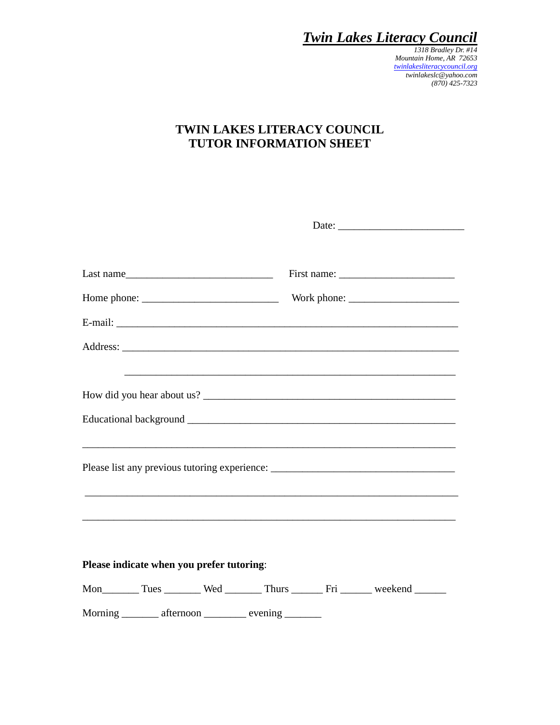*1318 Bradley Dr. #14 Mountain Home, AR 72653 [twinlakesliteracycouncil.org](http://www.twinlakesliteracycouncil.org/) twinlakeslc@yahoo.com (870) 425-7323*

#### **TWIN LAKES LITERACY COUNCIL TUTOR INFORMATION SHEET**

| Last name                                                 | First name: $\frac{1}{\sqrt{1-\frac{1}{2}}}\left\{ \frac{1}{2} + \frac{1}{2} + \frac{1}{2} + \frac{1}{2} + \frac{1}{2} + \frac{1}{2} + \frac{1}{2} + \frac{1}{2} + \frac{1}{2} + \frac{1}{2} + \frac{1}{2} + \frac{1}{2} + \frac{1}{2} + \frac{1}{2} + \frac{1}{2} + \frac{1}{2} + \frac{1}{2} + \frac{1}{2} + \frac{1}{2} + \frac{1}{2} + \frac{1}{2} + \frac{1}{2} + \frac{1}{2} + \frac{1$ |
|-----------------------------------------------------------|-----------------------------------------------------------------------------------------------------------------------------------------------------------------------------------------------------------------------------------------------------------------------------------------------------------------------------------------------------------------------------------------------|
|                                                           |                                                                                                                                                                                                                                                                                                                                                                                               |
|                                                           |                                                                                                                                                                                                                                                                                                                                                                                               |
|                                                           |                                                                                                                                                                                                                                                                                                                                                                                               |
|                                                           |                                                                                                                                                                                                                                                                                                                                                                                               |
|                                                           |                                                                                                                                                                                                                                                                                                                                                                                               |
|                                                           |                                                                                                                                                                                                                                                                                                                                                                                               |
|                                                           | Please list any previous tutoring experience: ___________________________________                                                                                                                                                                                                                                                                                                             |
| Please indicate when you prefer tutoring:                 |                                                                                                                                                                                                                                                                                                                                                                                               |
|                                                           | Mon__________ Tues __________ Wed __________ Thurs _________ Fri ________ weekend _______                                                                                                                                                                                                                                                                                                     |
| Morning _________ afternoon ____________ evening ________ |                                                                                                                                                                                                                                                                                                                                                                                               |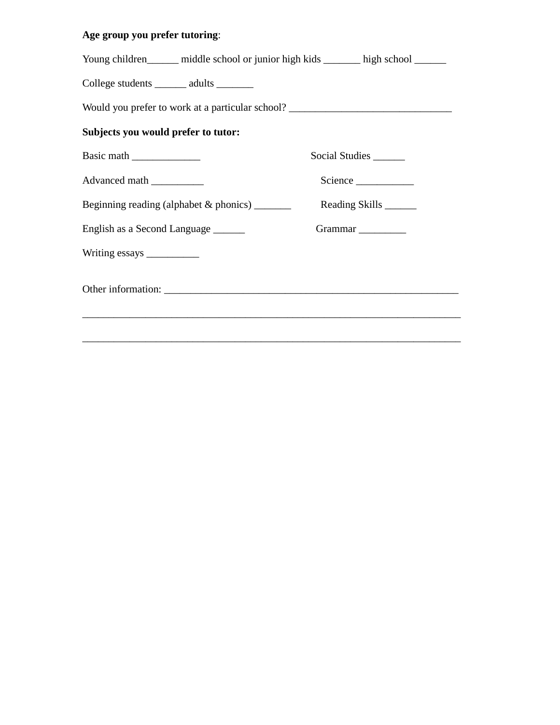#### **Age group you prefer tutoring**:

| Young children______ middle school or junior high kids _______ high school ______ |                        |  |  |  |  |
|-----------------------------------------------------------------------------------|------------------------|--|--|--|--|
| College students _______ adults _______                                           |                        |  |  |  |  |
| Would you prefer to work at a particular school? _______________________________  |                        |  |  |  |  |
| Subjects you would prefer to tutor:                                               |                        |  |  |  |  |
|                                                                                   | Social Studies         |  |  |  |  |
| Advanced math ___________                                                         | Science                |  |  |  |  |
| Beginning reading (alphabet & phonics) ________                                   | Reading Skills _______ |  |  |  |  |
| English as a Second Language                                                      |                        |  |  |  |  |
|                                                                                   |                        |  |  |  |  |
|                                                                                   |                        |  |  |  |  |
|                                                                                   |                        |  |  |  |  |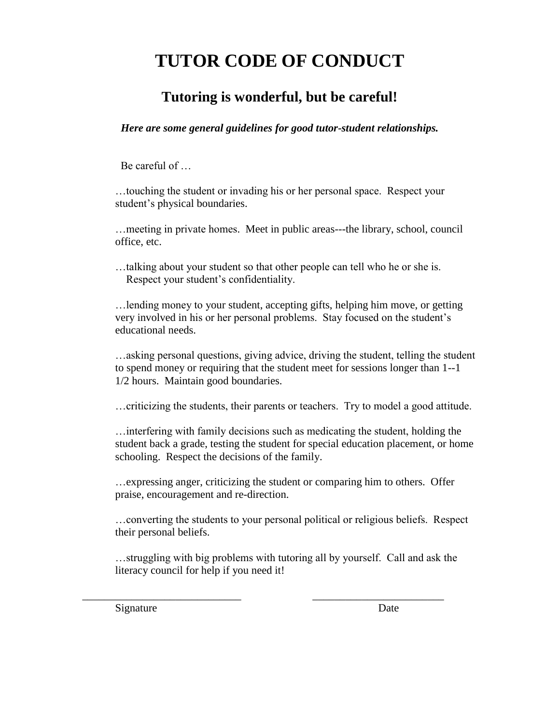## **TUTOR CODE OF CONDUCT**

#### **Tutoring is wonderful, but be careful!**

*Here are some general guidelines for good tutor-student relationships.*

Be careful of …

…touching the student or invading his or her personal space. Respect your student's physical boundaries.

…meeting in private homes. Meet in public areas---the library, school, council office, etc.

…talking about your student so that other people can tell who he or she is. Respect your student's confidentiality.

…lending money to your student, accepting gifts, helping him move, or getting very involved in his or her personal problems. Stay focused on the student's educational needs.

…asking personal questions, giving advice, driving the student, telling the student to spend money or requiring that the student meet for sessions longer than 1--1 1/2 hours. Maintain good boundaries.

…criticizing the students, their parents or teachers. Try to model a good attitude.

…interfering with family decisions such as medicating the student, holding the student back a grade, testing the student for special education placement, or home schooling. Respect the decisions of the family.

…expressing anger, criticizing the student or comparing him to others. Offer praise, encouragement and re-direction.

…converting the students to your personal political or religious beliefs. Respect their personal beliefs.

…struggling with big problems with tutoring all by yourself. Call and ask the literacy council for help if you need it!

\_\_\_\_\_\_\_\_\_\_\_\_\_\_\_\_\_\_\_\_\_\_\_\_\_\_\_\_\_ \_\_\_\_\_\_\_\_\_\_\_\_\_\_\_\_\_\_\_\_\_\_\_\_

Signature Date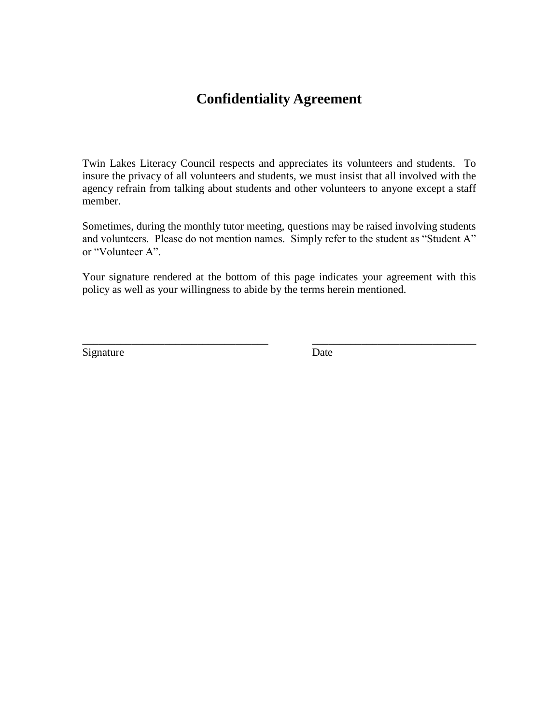#### **Confidentiality Agreement**

Twin Lakes Literacy Council respects and appreciates its volunteers and students. To insure the privacy of all volunteers and students, we must insist that all involved with the agency refrain from talking about students and other volunteers to anyone except a staff member.

Sometimes, during the monthly tutor meeting, questions may be raised involving students and volunteers. Please do not mention names. Simply refer to the student as "Student A" or "Volunteer A".

Your signature rendered at the bottom of this page indicates your agreement with this policy as well as your willingness to abide by the terms herein mentioned.

\_\_\_\_\_\_\_\_\_\_\_\_\_\_\_\_\_\_\_\_\_\_\_\_\_\_\_\_\_\_\_\_\_\_ \_\_\_\_\_\_\_\_\_\_\_\_\_\_\_\_\_\_\_\_\_\_\_\_\_\_\_\_\_\_

Signature Date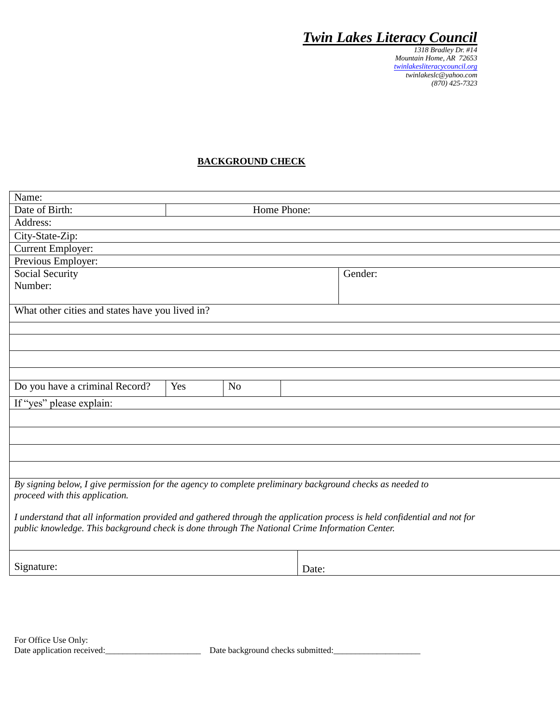*1318 Bradley Dr. #14 Mountain Home, AR 72653 [twinlakesliteracycouncil.org](http://www.twinlakesliteracycouncil.org/) twinlakeslc@yahoo.com (870) 425-7323*

#### **BACKGROUND CHECK**

| Name:                                                                                                                    |                 |                |       |         |  |
|--------------------------------------------------------------------------------------------------------------------------|-----------------|----------------|-------|---------|--|
| Date of Birth:                                                                                                           | Home Phone:     |                |       |         |  |
| Address:                                                                                                                 |                 |                |       |         |  |
| City-State-Zip:                                                                                                          |                 |                |       |         |  |
| <b>Current Employer:</b>                                                                                                 |                 |                |       |         |  |
| Previous Employer:                                                                                                       |                 |                |       |         |  |
|                                                                                                                          | Social Security |                |       | Gender: |  |
|                                                                                                                          | Number:         |                |       |         |  |
|                                                                                                                          |                 |                |       |         |  |
| What other cities and states have you lived in?                                                                          |                 |                |       |         |  |
|                                                                                                                          |                 |                |       |         |  |
|                                                                                                                          |                 |                |       |         |  |
|                                                                                                                          |                 |                |       |         |  |
|                                                                                                                          |                 |                |       |         |  |
| Do you have a criminal Record?                                                                                           | Yes             | N <sub>o</sub> |       |         |  |
|                                                                                                                          |                 |                |       |         |  |
| If "yes" please explain:                                                                                                 |                 |                |       |         |  |
|                                                                                                                          |                 |                |       |         |  |
|                                                                                                                          |                 |                |       |         |  |
|                                                                                                                          |                 |                |       |         |  |
|                                                                                                                          |                 |                |       |         |  |
|                                                                                                                          |                 |                |       |         |  |
| By signing below, I give permission for the agency to complete preliminary background checks as needed to                |                 |                |       |         |  |
| proceed with this application.                                                                                           |                 |                |       |         |  |
| I understand that all information provided and gathered through the application process is held confidential and not for |                 |                |       |         |  |
| public knowledge. This background check is done through The National Crime Information Center.                           |                 |                |       |         |  |
|                                                                                                                          |                 |                |       |         |  |
|                                                                                                                          |                 |                |       |         |  |
| Signature:                                                                                                               |                 |                | Date: |         |  |
|                                                                                                                          |                 |                |       |         |  |

Date background checks submitted: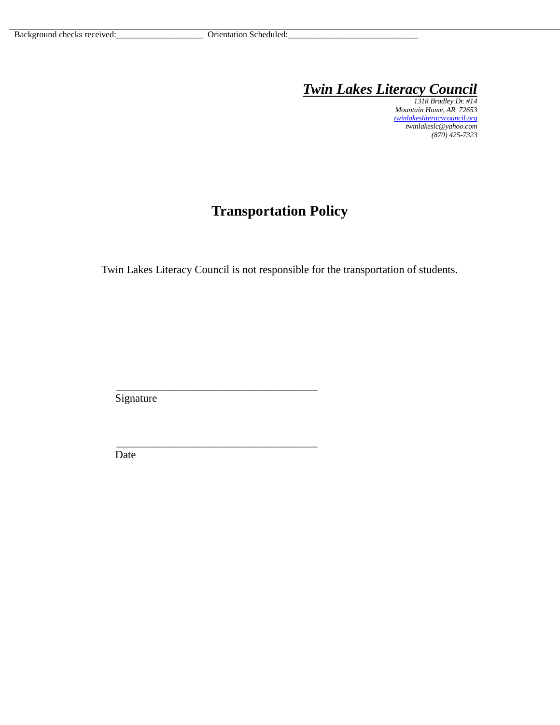*1318 Bradley Dr. #14 Mountain Home, AR 72653 [twinlakesliteracycouncil.org](http://www.twinlakesliteracycouncil.org/) twinlakeslc@yahoo.com (870) 425-7323*

## **Transportation Policy**

Twin Lakes Literacy Council is not responsible for the transportation of students.

Signature

\_\_\_\_\_\_\_\_\_\_\_\_\_\_\_\_\_\_\_\_\_\_\_\_\_\_\_\_\_\_\_\_\_\_\_\_\_\_\_\_\_\_\_\_

\_\_\_\_\_\_\_\_\_\_\_\_\_\_\_\_\_\_\_\_\_\_\_\_\_\_\_\_\_\_\_\_\_\_\_\_\_\_\_\_\_\_\_\_

Date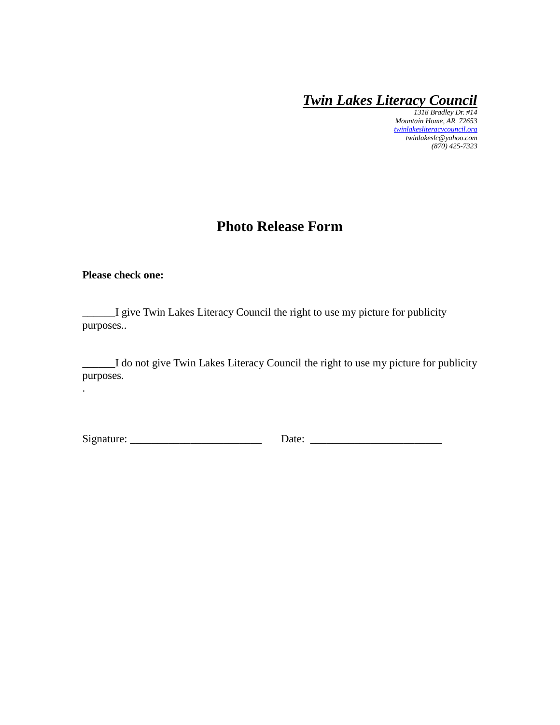*1318 Bradley Dr. #14 Mountain Home, AR 72653 [twinlakesliteracycouncil.org](http://www.twinlakesliteracycouncil.org/) twinlakeslc@yahoo.com (870) 425-7323*

#### **Photo Release Form**

#### **Please check one:**

.

\_\_\_\_\_\_I give Twin Lakes Literacy Council the right to use my picture for publicity purposes..

\_\_\_\_\_\_I do not give Twin Lakes Literacy Council the right to use my picture for publicity purposes.

Signature: \_\_\_\_\_\_\_\_\_\_\_\_\_\_\_\_\_\_\_\_\_\_\_\_ Date: \_\_\_\_\_\_\_\_\_\_\_\_\_\_\_\_\_\_\_\_\_\_\_\_